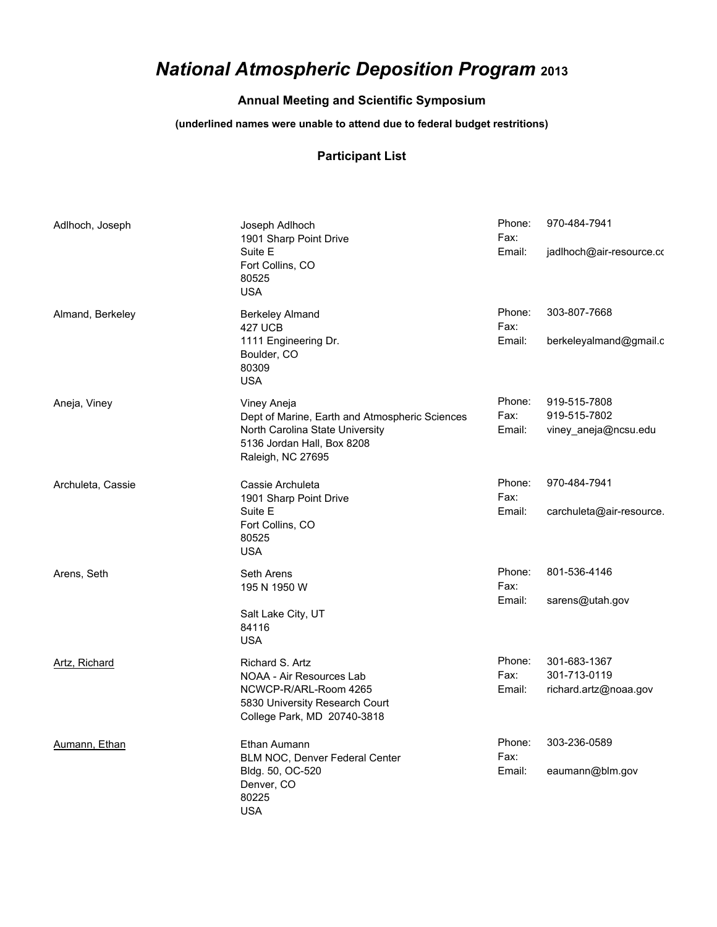## *National Atmospheric Deposition Program* **<sup>2013</sup>**

## **Annual Meeting and Scientific Symposium**

## **(underlined names were unable to attend due to federal budget restritions)**

## **Participant List**

| Adlhoch, Joseph   | Joseph Adlhoch<br>1901 Sharp Point Drive<br>Suite E<br>Fort Collins, CO<br>80525<br><b>USA</b>                                                      | Phone:<br>Fax:<br>Email: | 970-484-7941<br>jadlhoch@air-resource.co              |
|-------------------|-----------------------------------------------------------------------------------------------------------------------------------------------------|--------------------------|-------------------------------------------------------|
| Almand, Berkeley  | <b>Berkeley Almand</b><br><b>427 UCB</b><br>1111 Engineering Dr.<br>Boulder, CO<br>80309<br><b>USA</b>                                              | Phone:<br>Fax:<br>Email: | 303-807-7668<br>berkeleyalmand@gmail.c                |
| Aneja, Viney      | Viney Aneja<br>Dept of Marine, Earth and Atmospheric Sciences<br>North Carolina State University<br>5136 Jordan Hall, Box 8208<br>Raleigh, NC 27695 | Phone:<br>Fax:<br>Email: | 919-515-7808<br>919-515-7802<br>viney aneja@ncsu.edu  |
| Archuleta, Cassie | Cassie Archuleta<br>1901 Sharp Point Drive<br>Suite E<br>Fort Collins, CO<br>80525<br><b>USA</b>                                                    | Phone:<br>Fax:<br>Email: | 970-484-7941<br>carchuleta@air-resource.              |
| Arens, Seth       | Seth Arens<br>195 N 1950 W<br>Salt Lake City, UT<br>84116<br><b>USA</b>                                                                             | Phone:<br>Fax:<br>Email: | 801-536-4146<br>sarens@utah.gov                       |
| Artz, Richard     | Richard S. Artz<br>NOAA - Air Resources Lab<br>NCWCP-R/ARL-Room 4265<br>5830 University Research Court<br>College Park, MD 20740-3818               | Phone:<br>Fax:<br>Email: | 301-683-1367<br>301-713-0119<br>richard.artz@noaa.gov |
| Aumann, Ethan     | Ethan Aumann<br>BLM NOC, Denver Federal Center<br>Bldg. 50, OC-520<br>Denver, CO<br>80225<br><b>USA</b>                                             | Phone:<br>Fax:<br>Email: | 303-236-0589<br>eaumann@blm.gov                       |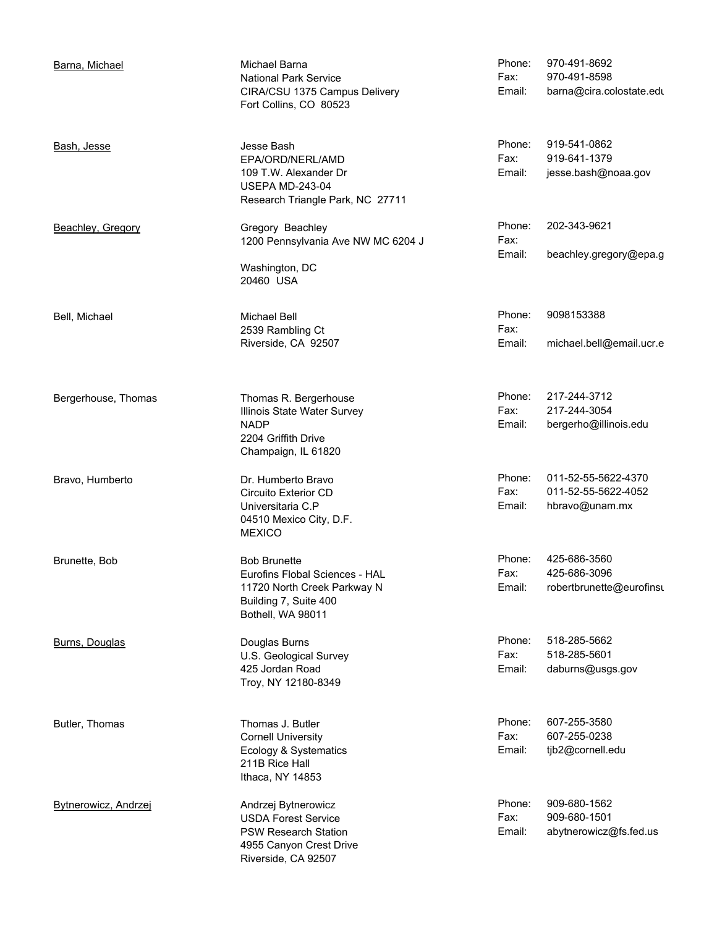| Barna, Michael              | Michael Barna<br><b>National Park Service</b><br>CIRA/CSU 1375 Campus Delivery<br>Fort Collins, CO 80523                           | Phone:<br>Fax:<br>Email: | 970-491-8692<br>970-491-8598<br>barna@cira.colostate.edu     |
|-----------------------------|------------------------------------------------------------------------------------------------------------------------------------|--------------------------|--------------------------------------------------------------|
| Bash, Jesse                 | Jesse Bash<br>EPA/ORD/NERL/AMD<br>109 T.W. Alexander Dr<br><b>USEPA MD-243-04</b><br>Research Triangle Park, NC 27711              | Phone:<br>Fax:<br>Email: | 919-541-0862<br>919-641-1379<br>jesse.bash@noaa.gov          |
| Beachley, Gregory           | Gregory Beachley<br>1200 Pennsylvania Ave NW MC 6204 J<br>Washington, DC<br>20460 USA                                              | Phone:<br>Fax:<br>Email: | 202-343-9621<br>beachley.gregory@epa.g                       |
| Bell, Michael               | Michael Bell<br>2539 Rambling Ct<br>Riverside, CA 92507                                                                            | Phone:<br>Fax:<br>Email: | 9098153388<br>michael.bell@email.ucr.e                       |
| Bergerhouse, Thomas         | Thomas R. Bergerhouse<br>Illinois State Water Survey<br><b>NADP</b><br>2204 Griffith Drive<br>Champaign, IL 61820                  | Phone:<br>Fax:<br>Email: | 217-244-3712<br>217-244-3054<br>bergerho@illinois.edu        |
| Bravo, Humberto             | Dr. Humberto Bravo<br>Circuito Exterior CD<br>Universitaria C.P<br>04510 Mexico City, D.F.<br><b>MEXICO</b>                        | Phone:<br>Fax:<br>Email: | 011-52-55-5622-4370<br>011-52-55-5622-4052<br>hbravo@unam.mx |
| Brunette, Bob               | <b>Bob Brunette</b><br>Eurofins Flobal Sciences - HAL<br>11720 North Creek Parkway N<br>Building 7, Suite 400<br>Bothell, WA 98011 | Phone:<br>Fax:<br>Email: | 425-686-3560<br>425-686-3096<br>robertbrunette@eurofinsu     |
| Burns, Douglas              | Douglas Burns<br>U.S. Geological Survey<br>425 Jordan Road<br>Troy, NY 12180-8349                                                  | Phone:<br>Fax:<br>Email: | 518-285-5662<br>518-285-5601<br>daburns@usgs.gov             |
| Butler, Thomas              | Thomas J. Butler<br><b>Cornell University</b><br>Ecology & Systematics<br>211B Rice Hall<br>Ithaca, NY 14853                       | Phone:<br>Fax:<br>Email: | 607-255-3580<br>607-255-0238<br>tjb2@cornell.edu             |
| <b>Bytnerowicz, Andrzej</b> | Andrzej Bytnerowicz<br><b>USDA Forest Service</b><br><b>PSW Research Station</b><br>4955 Canyon Crest Drive<br>Riverside, CA 92507 | Phone:<br>Fax:<br>Email: | 909-680-1562<br>909-680-1501<br>abytnerowicz@fs.fed.us       |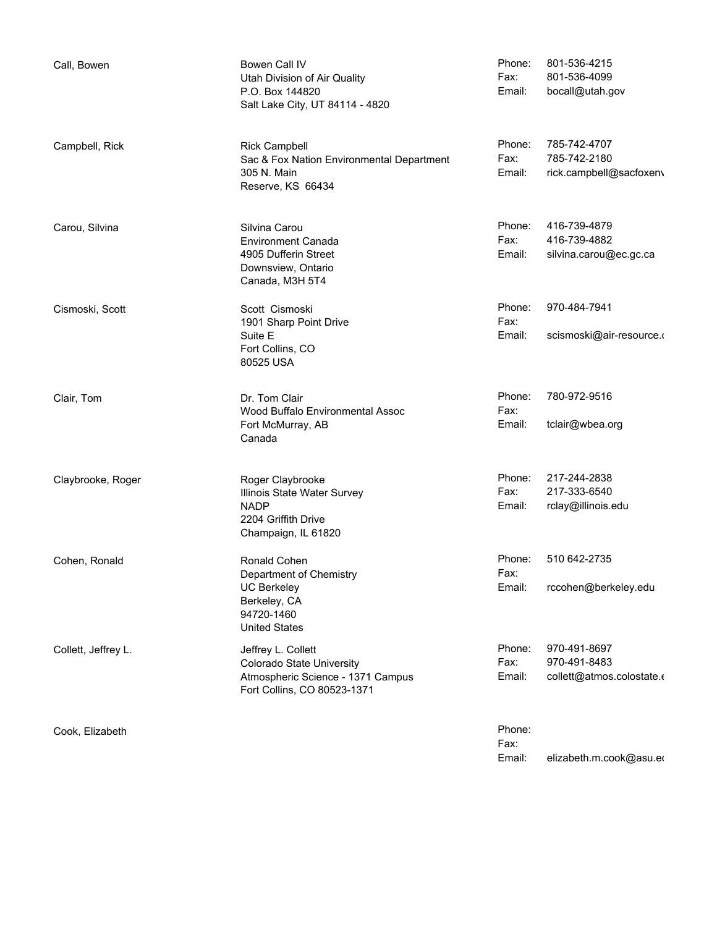| Call, Bowen         | Bowen Call IV<br>Utah Division of Air Quality<br>P.O. Box 144820<br>Salt Lake City, UT 84114 - 4820                 | Phone:<br>Fax:<br>Email: | 801-536-4215<br>801-536-4099<br>bocall@utah.gov           |
|---------------------|---------------------------------------------------------------------------------------------------------------------|--------------------------|-----------------------------------------------------------|
| Campbell, Rick      | <b>Rick Campbell</b><br>Sac & Fox Nation Environmental Department<br>305 N. Main<br>Reserve, KS 66434               | Phone:<br>Fax:<br>Email: | 785-742-4707<br>785-742-2180<br>rick.campbell@sacfoxenv   |
| Carou, Silvina      | Silvina Carou<br><b>Environment Canada</b><br>4905 Dufferin Street<br>Downsview, Ontario<br>Canada, M3H 5T4         | Phone:<br>Fax:<br>Email: | 416-739-4879<br>416-739-4882<br>silvina.carou@ec.gc.ca    |
| Cismoski, Scott     | Scott Cismoski<br>1901 Sharp Point Drive<br>Suite E<br>Fort Collins, CO<br>80525 USA                                | Phone:<br>Fax:<br>Email: | 970-484-7941<br>scismoski@air-resource.o                  |
| Clair, Tom          | Dr. Tom Clair<br>Wood Buffalo Environmental Assoc<br>Fort McMurray, AB<br>Canada                                    | Phone:<br>Fax:<br>Email: | 780-972-9516<br>tclair@wbea.org                           |
| Claybrooke, Roger   | Roger Claybrooke<br>Illinois State Water Survey<br><b>NADP</b><br>2204 Griffith Drive<br>Champaign, IL 61820        | Phone:<br>Fax:<br>Email: | 217-244-2838<br>217-333-6540<br>rclay@illinois.edu        |
| Cohen, Ronald       | Ronald Cohen<br>Department of Chemistry<br><b>UC Berkeley</b><br>Berkeley, CA<br>94720-1460<br><b>United States</b> | Phone:<br>Fax:<br>Email: | 510 642-2735<br>rccohen@berkeley.edu                      |
| Collett, Jeffrey L. | Jeffrey L. Collett<br>Colorado State University<br>Atmospheric Science - 1371 Campus<br>Fort Collins, CO 80523-1371 | Phone:<br>Fax:<br>Email: | 970-491-8697<br>970-491-8483<br>collett@atmos.colostate.o |
| Cook, Elizabeth     |                                                                                                                     | Phone:<br>Fax:           |                                                           |

Email: elizabeth.m.cook@asu.edu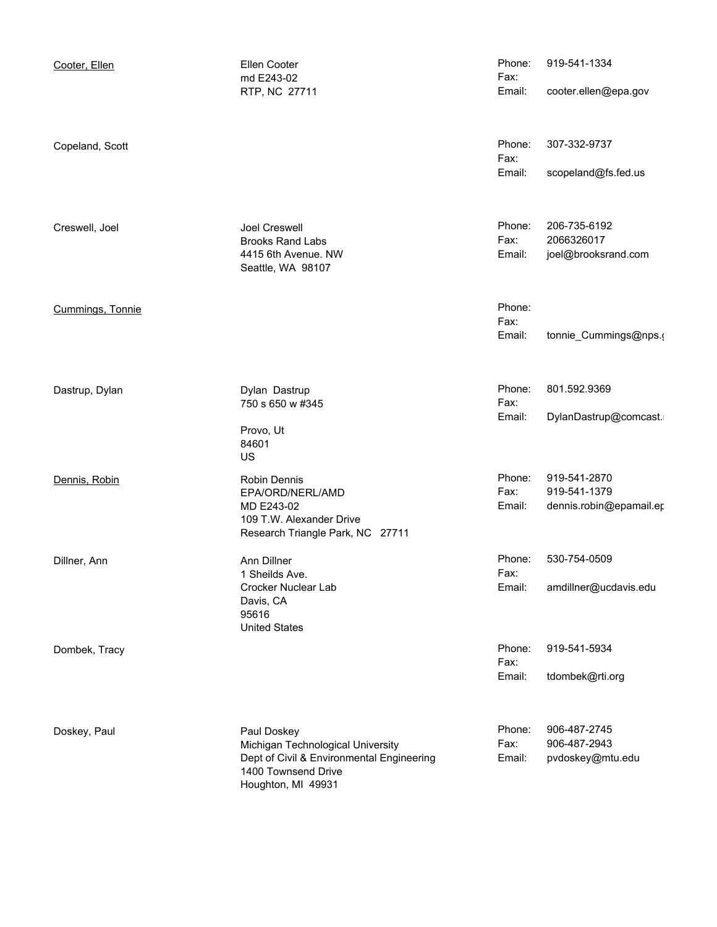| Cooter, Ellen    | Ellen Cooter<br>md E243-02                                                                     | Phone:<br>Fax: | 919-541-1334                            |
|------------------|------------------------------------------------------------------------------------------------|----------------|-----------------------------------------|
|                  | RTP, NC 27711                                                                                  | Email:         | cooter.ellen@epa.gov                    |
| Copeland, Scott  |                                                                                                | Phone:<br>Fax: | 307-332-9737                            |
|                  |                                                                                                | Email:         | scopeland@fs.fed.us                     |
| Creswell, Joel   | Joel Creswell<br><b>Brooks Rand Labs</b>                                                       | Phone:<br>Fax: | 206-735-6192<br>2066326017              |
|                  | 4415 6th Avenue. NW<br>Seattle, WA 98107                                                       | Email:         | joel@brooksrand.com                     |
| Cummings, Tonnie |                                                                                                | Phone:<br>Fax: |                                         |
|                  |                                                                                                | Email:         | tonnie_Cummings@nps.(                   |
| Dastrup, Dylan   | Dylan Dastrup<br>750 s 650 w #345                                                              | Phone:<br>Fax: | 801.592.9369                            |
|                  | Provo, Ut<br>84601<br>US                                                                       | Email:         | DylanDastrup@comcast.                   |
| Dennis, Robin    | Robin Dennis                                                                                   | Phone:         | 919-541-2870                            |
|                  | EPA/ORD/NERL/AMD<br>MD E243-02<br>109 T.W. Alexander Drive<br>Research Triangle Park, NC 27711 | Fax:<br>Email: | 919-541-1379<br>dennis.robin@epamail.er |
| Dillner, Ann     | Ann Dillner<br>1 Sheilds Ave.                                                                  | Phone:<br>Fax: | 530-754-0509                            |
|                  | Crocker Nuclear Lab<br>Davis, CA<br>95616<br><b>United States</b>                              | Email:         | amdillner@ucdavis.edu                   |
| Dombek, Tracy    |                                                                                                | Phone:<br>Fax: | 919-541-5934                            |
|                  |                                                                                                | Email:         | tdombek@rti.org                         |
| Doskey, Paul     | Paul Doskey<br>Michigan Technological University                                               | Phone:<br>Fax: | 906-487-2745<br>906-487-2943            |
|                  | Dept of Civil & Environmental Engineering<br>1400 Townsend Drive<br>Houghton, MI 49931         | Email:         | pvdoskey@mtu.edu                        |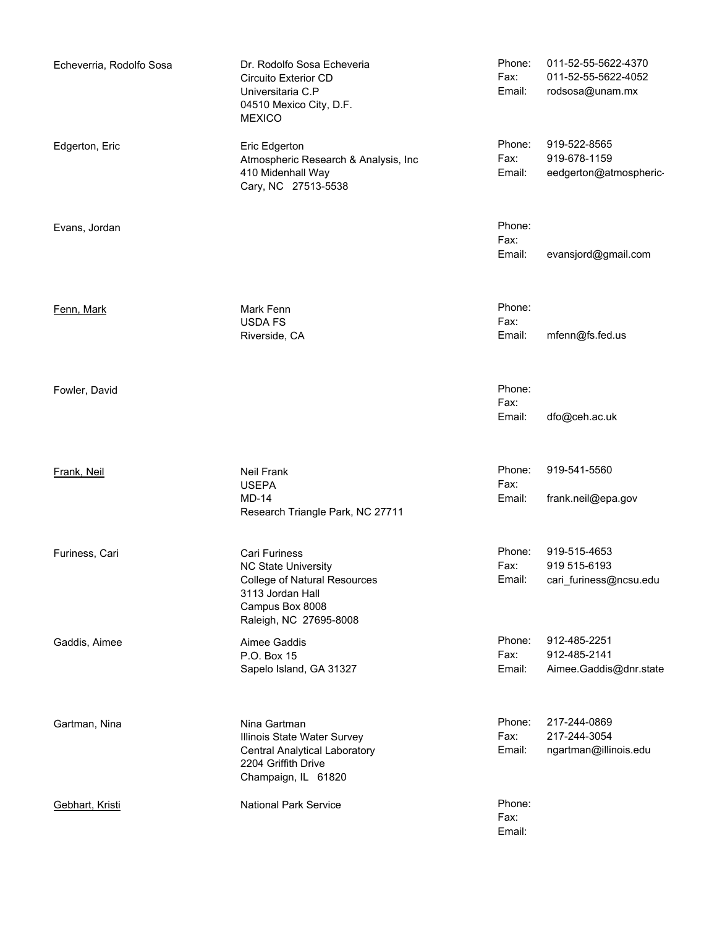| Echeverria, Rodolfo Sosa | Dr. Rodolfo Sosa Echeveria<br>Circuito Exterior CD<br>Universitaria C.P<br>04510 Mexico City, D.F.<br><b>MEXICO</b>                                 | Phone:<br>Fax:<br>Email: | 011-52-55-5622-4370<br>011-52-55-5622-4052<br>rodsosa@unam.mx |
|--------------------------|-----------------------------------------------------------------------------------------------------------------------------------------------------|--------------------------|---------------------------------------------------------------|
| Edgerton, Eric           | Eric Edgerton<br>Atmospheric Research & Analysis, Inc<br>410 Midenhall Way<br>Cary, NC 27513-5538                                                   | Phone:<br>Fax:<br>Email: | 919-522-8565<br>919-678-1159<br>eedgerton@atmospheric-        |
| Evans, Jordan            |                                                                                                                                                     | Phone:<br>Fax:<br>Email: | evansjord@gmail.com                                           |
| Fenn, Mark               | Mark Fenn<br><b>USDA FS</b><br>Riverside, CA                                                                                                        | Phone:<br>Fax:<br>Email: | mfenn@fs.fed.us                                               |
| Fowler, David            |                                                                                                                                                     | Phone:<br>Fax:<br>Email: | dfo@ceh.ac.uk                                                 |
| Frank, Neil              | Neil Frank<br><b>USEPA</b><br><b>MD-14</b><br>Research Triangle Park, NC 27711                                                                      | Phone:<br>Fax:<br>Email: | 919-541-5560<br>frank.neil@epa.gov                            |
| Furiness, Cari           | Cari Furiness<br><b>NC State University</b><br><b>College of Natural Resources</b><br>3113 Jordan Hall<br>Campus Box 8008<br>Raleigh, NC 27695-8008 | Phone:<br>Fax:<br>Email: | 919-515-4653<br>919 515-6193<br>cari_furiness@ncsu.edu        |
| Gaddis, Aimee            | Aimee Gaddis<br>P.O. Box 15<br>Sapelo Island, GA 31327                                                                                              | Phone:<br>Fax:<br>Email: | 912-485-2251<br>912-485-2141<br>Aimee.Gaddis@dnr.state        |
| Gartman, Nina            | Nina Gartman<br>Illinois State Water Survey<br>Central Analytical Laboratory<br>2204 Griffith Drive<br>Champaign, IL 61820                          | Phone:<br>Fax:<br>Email: | 217-244-0869<br>217-244-3054<br>ngartman@illinois.edu         |
| Gebhart, Kristi          | <b>National Park Service</b>                                                                                                                        | Phone:<br>Fax:<br>Email: |                                                               |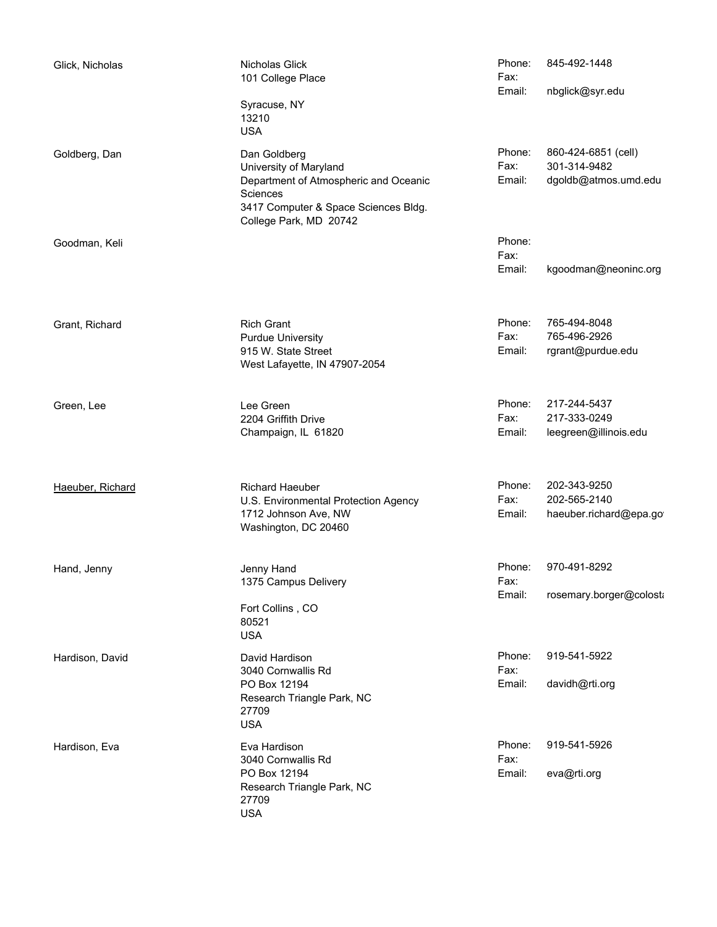| Glick, Nicholas  | Nicholas Glick<br>101 College Place<br>Syracuse, NY<br>13210<br><b>USA</b>                                                                                    | Phone:<br>Fax:<br>Email: | 845-492-1448<br>nbglick@syr.edu                             |
|------------------|---------------------------------------------------------------------------------------------------------------------------------------------------------------|--------------------------|-------------------------------------------------------------|
| Goldberg, Dan    | Dan Goldberg<br>University of Maryland<br>Department of Atmospheric and Oceanic<br>Sciences<br>3417 Computer & Space Sciences Bldg.<br>College Park, MD 20742 | Phone:<br>Fax:<br>Email: | 860-424-6851 (cell)<br>301-314-9482<br>dgoldb@atmos.umd.edu |
| Goodman, Keli    |                                                                                                                                                               | Phone:<br>Fax:<br>Email: | kgoodman@neoninc.org                                        |
| Grant, Richard   | <b>Rich Grant</b><br><b>Purdue University</b><br>915 W. State Street<br>West Lafayette, IN 47907-2054                                                         | Phone:<br>Fax:<br>Email: | 765-494-8048<br>765-496-2926<br>rgrant@purdue.edu           |
| Green, Lee       | Lee Green<br>2204 Griffith Drive<br>Champaign, IL 61820                                                                                                       | Phone:<br>Fax:<br>Email: | 217-244-5437<br>217-333-0249<br>leegreen@illinois.edu       |
| Haeuber, Richard | Richard Haeuber<br>U.S. Environmental Protection Agency<br>1712 Johnson Ave, NW<br>Washington, DC 20460                                                       | Phone:<br>Fax:<br>Email: | 202-343-9250<br>202-565-2140<br>haeuber.richard@epa.go      |
| Hand, Jenny      | Jenny Hand<br>1375 Campus Delivery<br>Fort Collins, CO<br>80521<br><b>USA</b>                                                                                 | Phone:<br>Fax:<br>Email: | 970-491-8292<br>rosemary.borger@colosta                     |
| Hardison, David  | David Hardison<br>3040 Cornwallis Rd<br>PO Box 12194<br>Research Triangle Park, NC<br>27709<br><b>USA</b>                                                     | Phone:<br>Fax:<br>Email: | 919-541-5922<br>davidh@rti.org                              |
| Hardison, Eva    | Eva Hardison<br>3040 Cornwallis Rd<br>PO Box 12194<br>Research Triangle Park, NC<br>27709<br><b>USA</b>                                                       | Phone:<br>Fax:<br>Email: | 919-541-5926<br>eva@rti.org                                 |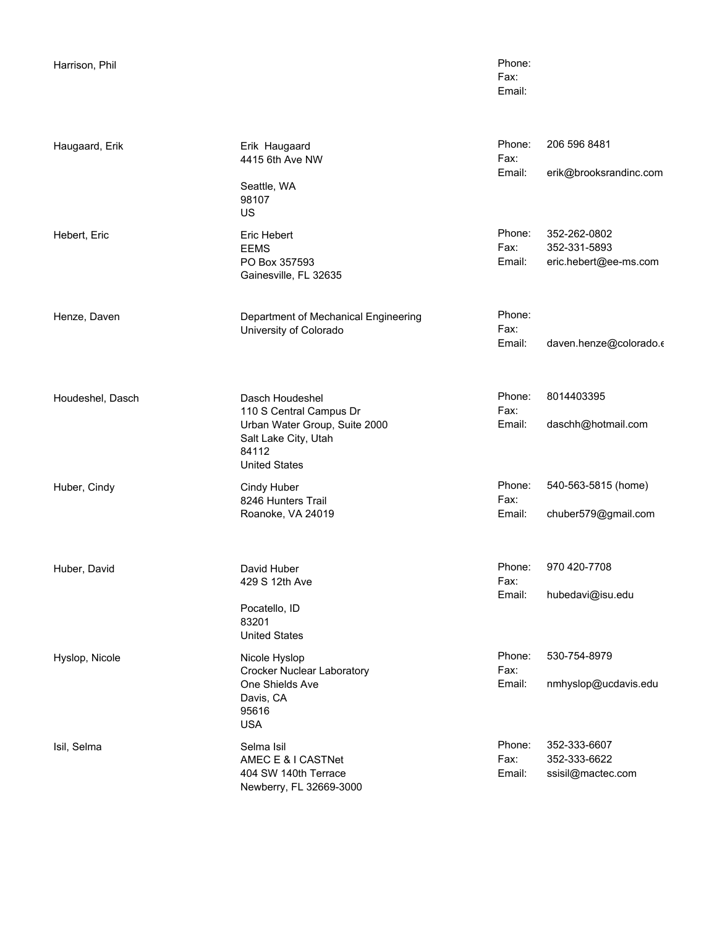| Harrison, Phil   |                                                                                                                                      | Phone:<br>Fax:<br>Email: |                                                       |
|------------------|--------------------------------------------------------------------------------------------------------------------------------------|--------------------------|-------------------------------------------------------|
| Haugaard, Erik   | Erik Haugaard<br>4415 6th Ave NW<br>Seattle, WA<br>98107<br>US                                                                       | Phone:<br>Fax:<br>Email: | 206 596 8481<br>erik@brooksrandinc.com                |
| Hebert, Eric     | Eric Hebert<br><b>EEMS</b><br>PO Box 357593<br>Gainesville, FL 32635                                                                 | Phone:<br>Fax:<br>Email: | 352-262-0802<br>352-331-5893<br>eric.hebert@ee-ms.com |
| Henze, Daven     | Department of Mechanical Engineering<br>University of Colorado                                                                       | Phone:<br>Fax:<br>Email: | daven.henze@colorado.c                                |
| Houdeshel, Dasch | Dasch Houdeshel<br>110 S Central Campus Dr<br>Urban Water Group, Suite 2000<br>Salt Lake City, Utah<br>84112<br><b>United States</b> | Phone:<br>Fax:<br>Email: | 8014403395<br>daschh@hotmail.com                      |
| Huber, Cindy     | Cindy Huber<br>8246 Hunters Trail<br>Roanoke, VA 24019                                                                               | Phone:<br>Fax:<br>Email: | 540-563-5815 (home)<br>chuber579@gmail.com            |
| Huber, David     | David Huber<br>429 S 12th Ave<br>Pocatello, ID<br>83201<br><b>United States</b>                                                      | Phone:<br>Fax:<br>Email: | 970 420-7708<br>hubedavi@isu.edu                      |
| Hyslop, Nicole   | Nicole Hyslop<br><b>Crocker Nuclear Laboratory</b><br>One Shields Ave<br>Davis, CA<br>95616<br><b>USA</b>                            | Phone:<br>Fax:<br>Email: | 530-754-8979<br>nmhyslop@ucdavis.edu                  |
| Isil, Selma      | Selma Isil<br>AMEC E & I CASTNet<br>404 SW 140th Terrace<br>Newberry, FL 32669-3000                                                  | Phone:<br>Fax:<br>Email: | 352-333-6607<br>352-333-6622<br>ssisil@mactec.com     |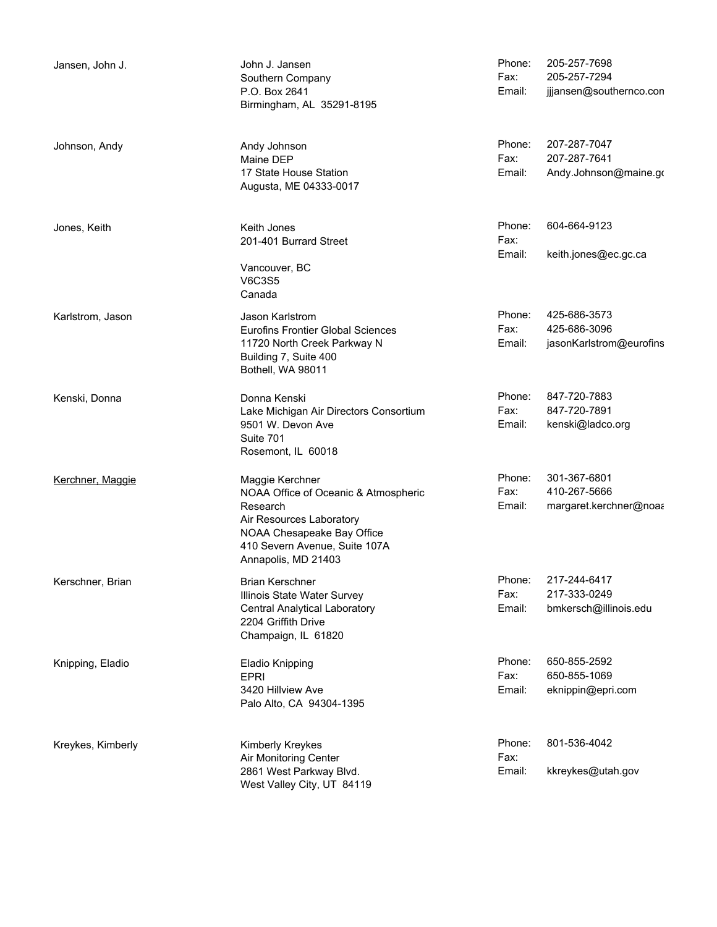| Jansen, John J.   | John J. Jansen<br>Southern Company<br>P.O. Box 2641<br>Birmingham, AL 35291-8195                                                                                                      | Phone:<br>Fax:<br>Email: | 205-257-7698<br>205-257-7294<br>jjjansen@southernco.con |
|-------------------|---------------------------------------------------------------------------------------------------------------------------------------------------------------------------------------|--------------------------|---------------------------------------------------------|
| Johnson, Andy     | Andy Johnson<br>Maine DEP<br>17 State House Station<br>Augusta, ME 04333-0017                                                                                                         | Phone:<br>Fax:<br>Email: | 207-287-7047<br>207-287-7641<br>Andy.Johnson@maine.go   |
| Jones, Keith      | Keith Jones<br>201-401 Burrard Street<br>Vancouver, BC<br><b>V6C3S5</b><br>Canada                                                                                                     | Phone:<br>Fax:<br>Email: | 604-664-9123<br>keith.jones@ec.gc.ca                    |
| Karlstrom, Jason  | Jason Karlstrom<br>Eurofins Frontier Global Sciences<br>11720 North Creek Parkway N<br>Building 7, Suite 400<br>Bothell, WA 98011                                                     | Phone:<br>Fax:<br>Email: | 425-686-3573<br>425-686-3096<br>jasonKarlstrom@eurofins |
| Kenski, Donna     | Donna Kenski<br>Lake Michigan Air Directors Consortium<br>9501 W. Devon Ave<br>Suite 701<br>Rosemont, IL 60018                                                                        | Phone:<br>Fax:<br>Email: | 847-720-7883<br>847-720-7891<br>kenski@ladco.org        |
| Kerchner, Maggie  | Maggie Kerchner<br>NOAA Office of Oceanic & Atmospheric<br>Research<br>Air Resources Laboratory<br>NOAA Chesapeake Bay Office<br>410 Severn Avenue, Suite 107A<br>Annapolis, MD 21403 | Phone:<br>Fax:<br>Email: | 301-367-6801<br>410-267-5666<br>margaret.kerchner@noaa  |
| Kerschner, Brian  | Brian Kerschner<br>Illinois State Water Survey<br><b>Central Analytical Laboratory</b><br>2204 Griffith Drive<br>Champaign, IL 61820                                                  | Phone:<br>Fax:<br>Email: | 217-244-6417<br>217-333-0249<br>bmkersch@illinois.edu   |
| Knipping, Eladio  | Eladio Knipping<br><b>EPRI</b><br>3420 Hillview Ave<br>Palo Alto, CA 94304-1395                                                                                                       | Phone:<br>Fax:<br>Email: | 650-855-2592<br>650-855-1069<br>eknippin@epri.com       |
| Kreykes, Kimberly | Kimberly Kreykes<br>Air Monitoring Center<br>2861 West Parkway Blvd.<br>West Valley City, UT 84119                                                                                    | Phone:<br>Fax:<br>Email: | 801-536-4042<br>kkreykes@utah.gov                       |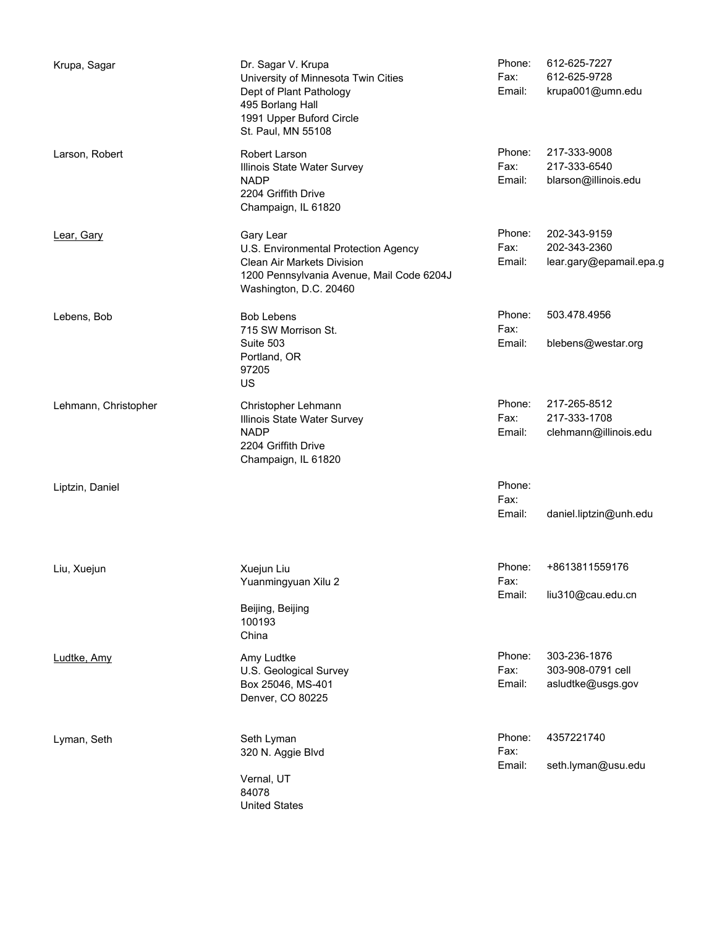| Krupa, Sagar         | Dr. Sagar V. Krupa<br>University of Minnesota Twin Cities<br>Dept of Plant Pathology<br>495 Borlang Hall<br>1991 Upper Buford Circle<br>St. Paul, MN 55108 | Phone:<br>Fax:<br>Email: | 612-625-7227<br>612-625-9728<br>krupa001@umn.edu        |
|----------------------|------------------------------------------------------------------------------------------------------------------------------------------------------------|--------------------------|---------------------------------------------------------|
| Larson, Robert       | Robert Larson<br>Illinois State Water Survey<br><b>NADP</b><br>2204 Griffith Drive<br>Champaign, IL 61820                                                  | Phone:<br>Fax:<br>Email: | 217-333-9008<br>217-333-6540<br>blarson@illinois.edu    |
| Lear, Gary           | Gary Lear<br>U.S. Environmental Protection Agency<br>Clean Air Markets Division<br>1200 Pennsylvania Avenue, Mail Code 6204J<br>Washington, D.C. 20460     | Phone:<br>Fax:<br>Email: | 202-343-9159<br>202-343-2360<br>lear.gary@epamail.epa.g |
| Lebens, Bob          | <b>Bob Lebens</b><br>715 SW Morrison St.<br>Suite 503<br>Portland, OR<br>97205<br>US                                                                       | Phone:<br>Fax:<br>Email: | 503.478.4956<br>blebens@westar.org                      |
| Lehmann, Christopher | Christopher Lehmann<br>Illinois State Water Survey<br><b>NADP</b><br>2204 Griffith Drive<br>Champaign, IL 61820                                            | Phone:<br>Fax:<br>Email: | 217-265-8512<br>217-333-1708<br>clehmann@illinois.edu   |
| Liptzin, Daniel      |                                                                                                                                                            | Phone:<br>Fax:<br>Email: | daniel.liptzin@unh.edu                                  |
| Liu, Xuejun          | Xuejun Liu<br>Yuanmingyuan Xilu 2<br>Beijing, Beijing<br>100193<br>China                                                                                   | Phone:<br>Fax:<br>Email: | +8613811559176<br>liu310@cau.edu.cn                     |
| Ludtke, Amy          | Amy Ludtke<br>U.S. Geological Survey<br>Box 25046, MS-401<br>Denver, CO 80225                                                                              | Phone:<br>Fax:<br>Email: | 303-236-1876<br>303-908-0791 cell<br>asludtke@usgs.gov  |
| Lyman, Seth          | Seth Lyman<br>320 N. Aggie Blvd<br>Vernal, UT<br>84078<br><b>United States</b>                                                                             | Phone:<br>Fax:<br>Email: | 4357221740<br>seth.lyman@usu.edu                        |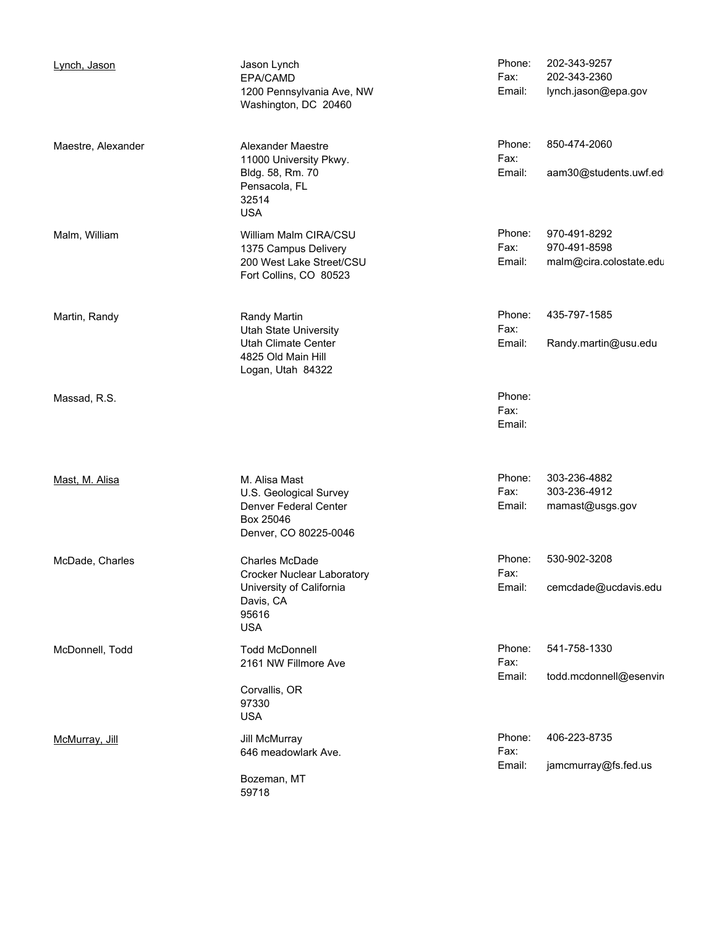| Lynch, Jason       | Jason Lynch<br>EPA/CAMD<br>1200 Pennsylvania Ave, NW<br>Washington, DC 20460                                        | Phone:<br>Fax:<br>Email: | 202-343-9257<br>202-343-2360<br>lynch.jason@epa.gov     |
|--------------------|---------------------------------------------------------------------------------------------------------------------|--------------------------|---------------------------------------------------------|
| Maestre, Alexander | Alexander Maestre<br>11000 University Pkwy.<br>Bldg. 58, Rm. 70<br>Pensacola, FL<br>32514<br><b>USA</b>             | Phone:<br>Fax:<br>Email: | 850-474-2060<br>aam30@students.uwf.ed                   |
| Malm, William      | William Malm CIRA/CSU<br>1375 Campus Delivery<br>200 West Lake Street/CSU<br>Fort Collins, CO 80523                 | Phone:<br>Fax:<br>Email: | 970-491-8292<br>970-491-8598<br>malm@cira.colostate.edu |
| Martin, Randy      | Randy Martin<br><b>Utah State University</b><br>Utah Climate Center<br>4825 Old Main Hill<br>Logan, Utah 84322      | Phone:<br>Fax:<br>Email: | 435-797-1585<br>Randy.martin@usu.edu                    |
| Massad, R.S.       |                                                                                                                     | Phone:<br>Fax:<br>Email: |                                                         |
| Mast, M. Alisa     | M. Alisa Mast<br>U.S. Geological Survey<br>Denver Federal Center<br>Box 25046<br>Denver, CO 80225-0046              | Phone:<br>Fax:<br>Email: | 303-236-4882<br>303-236-4912<br>mamast@usgs.gov         |
| McDade, Charles    | Charles McDade<br><b>Crocker Nuclear Laboratory</b><br>University of California<br>Davis, CA<br>95616<br><b>USA</b> | Phone:<br>Fax:<br>Email: | 530-902-3208<br>cemcdade@ucdavis.edu                    |
| McDonnell, Todd    | <b>Todd McDonnell</b><br>2161 NW Fillmore Ave<br>Corvallis, OR<br>97330<br><b>USA</b>                               | Phone:<br>Fax:<br>Email: | 541-758-1330<br>todd.mcdonnell@esenvin                  |
| McMurray, Jill     | Jill McMurray<br>646 meadowlark Ave.<br>Bozeman, MT<br>59718                                                        | Phone:<br>Fax:<br>Email: | 406-223-8735<br>jamcmurray@fs.fed.us                    |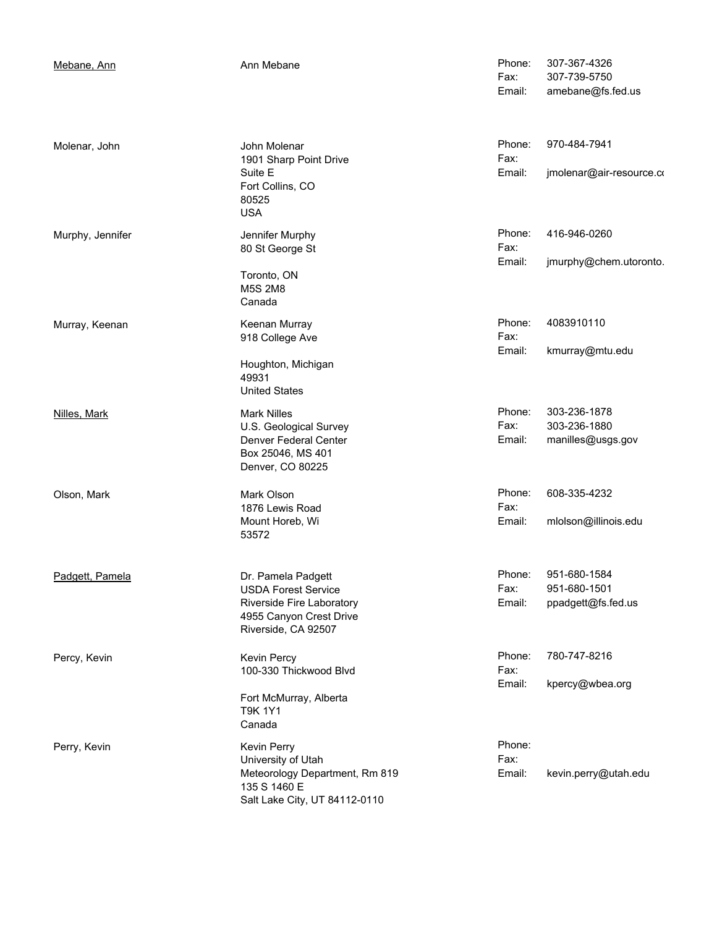| Mebane, Ann      | Ann Mebane                                                                                                                      | Phone:<br>Fax:<br>Email: | 307-367-4326<br>307-739-5750<br>amebane@fs.fed.us  |
|------------------|---------------------------------------------------------------------------------------------------------------------------------|--------------------------|----------------------------------------------------|
| Molenar, John    | John Molenar<br>1901 Sharp Point Drive<br>Suite E<br>Fort Collins, CO<br>80525<br><b>USA</b>                                    | Phone:<br>Fax:<br>Email: | 970-484-7941<br>jmolenar@air-resource.co           |
| Murphy, Jennifer | Jennifer Murphy<br>80 St George St<br>Toronto, ON<br><b>M5S 2M8</b><br>Canada                                                   | Phone:<br>Fax:<br>Email: | 416-946-0260<br>jmurphy@chem.utoronto.             |
| Murray, Keenan   | Keenan Murray<br>918 College Ave<br>Houghton, Michigan<br>49931<br><b>United States</b>                                         | Phone:<br>Fax:<br>Email: | 4083910110<br>kmurray@mtu.edu                      |
| Nilles, Mark     | <b>Mark Nilles</b><br>U.S. Geological Survey<br>Denver Federal Center<br>Box 25046, MS 401<br>Denver, CO 80225                  | Phone:<br>Fax:<br>Email: | 303-236-1878<br>303-236-1880<br>manilles@usgs.gov  |
| Olson, Mark      | Mark Olson<br>1876 Lewis Road<br>Mount Horeb, Wi<br>53572                                                                       | Phone:<br>Fax:<br>Email: | 608-335-4232<br>mlolson@illinois.edu               |
| Padgett, Pamela  | Dr. Pamela Padgett<br><b>USDA Forest Service</b><br>Riverside Fire Laboratory<br>4955 Canyon Crest Drive<br>Riverside, CA 92507 | Phone:<br>Fax:<br>Email: | 951-680-1584<br>951-680-1501<br>ppadgett@fs.fed.us |
| Percy, Kevin     | Kevin Percy<br>100-330 Thickwood Blvd<br>Fort McMurray, Alberta<br><b>T9K 1Y1</b><br>Canada                                     | Phone:<br>Fax:<br>Email: | 780-747-8216<br>kpercy@wbea.org                    |
| Perry, Kevin     | Kevin Perry<br>University of Utah<br>Meteorology Department, Rm 819<br>135 S 1460 E<br>Salt Lake City, UT 84112-0110            | Phone:<br>Fax:<br>Email: | kevin.perry@utah.edu                               |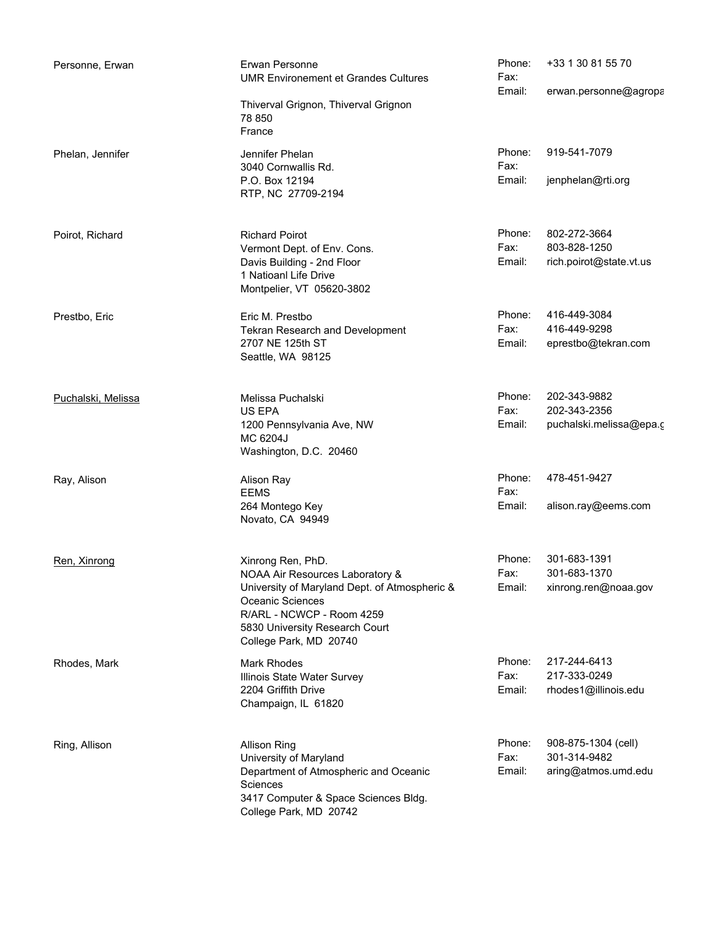| Personne, Erwan    | Erwan Personne<br><b>UMR Environement et Grandes Cultures</b>                                                                                                                                                      | Phone:<br>Fax:           | +33 1 30 81 55 70                                          |
|--------------------|--------------------------------------------------------------------------------------------------------------------------------------------------------------------------------------------------------------------|--------------------------|------------------------------------------------------------|
|                    | Thiverval Grignon, Thiverval Grignon<br>78 850<br>France                                                                                                                                                           | Email:                   | erwan.personne@agropa                                      |
| Phelan, Jennifer   | Jennifer Phelan<br>3040 Cornwallis Rd.<br>P.O. Box 12194<br>RTP, NC 27709-2194                                                                                                                                     | Phone:<br>Fax:<br>Email: | 919-541-7079<br>jenphelan@rti.org                          |
| Poirot, Richard    | <b>Richard Poirot</b><br>Vermont Dept. of Env. Cons.<br>Davis Building - 2nd Floor<br>1 Natioanl Life Drive<br>Montpelier, VT 05620-3802                                                                           | Phone:<br>Fax:<br>Email: | 802-272-3664<br>803-828-1250<br>rich.poirot@state.vt.us    |
| Prestbo, Eric      | Eric M. Prestbo<br>Tekran Research and Development<br>2707 NE 125th ST<br>Seattle, WA 98125                                                                                                                        | Phone:<br>Fax:<br>Email: | 416-449-3084<br>416-449-9298<br>eprestbo@tekran.com        |
| Puchalski, Melissa | Melissa Puchalski<br>US EPA<br>1200 Pennsylvania Ave, NW<br>MC 6204J<br>Washington, D.C. 20460                                                                                                                     | Phone:<br>Fax:<br>Email: | 202-343-9882<br>202-343-2356<br>puchalski.melissa@epa.c    |
| Ray, Alison        | Alison Ray<br><b>EEMS</b><br>264 Montego Key<br>Novato, CA 94949                                                                                                                                                   | Phone:<br>Fax:<br>Email: | 478-451-9427<br>alison.ray@eems.com                        |
| Ren, Xinrong       | Xinrong Ren, PhD.<br>NOAA Air Resources Laboratory &<br>University of Maryland Dept. of Atmospheric &<br>Oceanic Sciences<br>R/ARL - NCWCP - Room 4259<br>5830 University Research Court<br>College Park, MD 20740 | Phone:<br>Fax:<br>Email: | 301-683-1391<br>301-683-1370<br>xinrong.ren@noaa.gov       |
| Rhodes, Mark       | Mark Rhodes<br>Illinois State Water Survey<br>2204 Griffith Drive<br>Champaign, IL 61820                                                                                                                           | Phone:<br>Fax:<br>Email: | 217-244-6413<br>217-333-0249<br>rhodes1@illinois.edu       |
| Ring, Allison      | <b>Allison Ring</b><br>University of Maryland<br>Department of Atmospheric and Oceanic<br>Sciences<br>3417 Computer & Space Sciences Bldg.<br>College Park, MD 20742                                               | Phone:<br>Fax:<br>Email: | 908-875-1304 (cell)<br>301-314-9482<br>aring@atmos.umd.edu |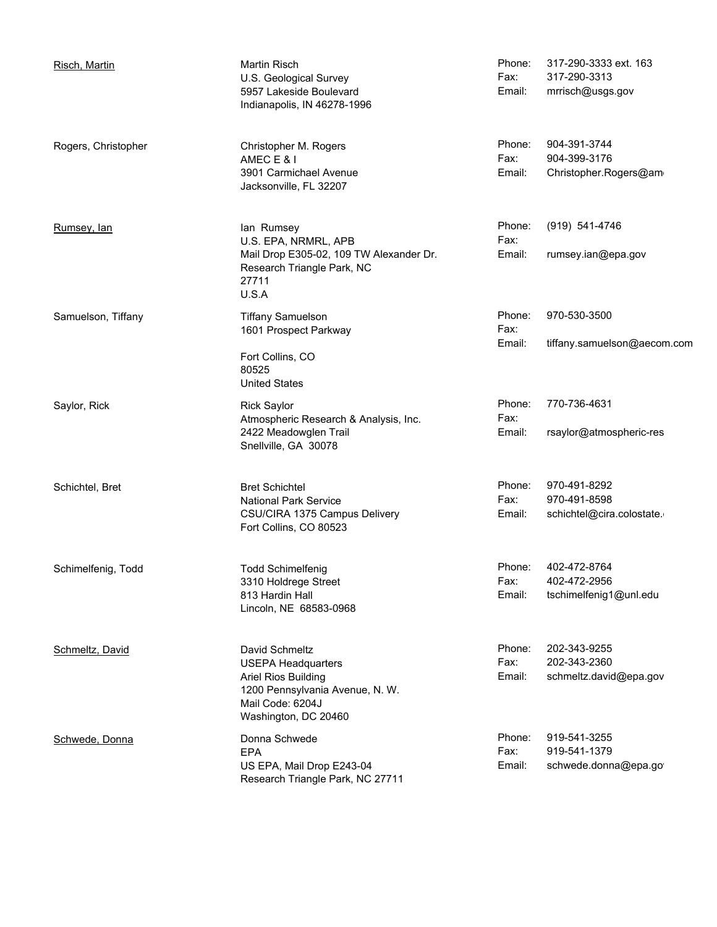| Risch, Martin       | <b>Martin Risch</b><br>U.S. Geological Survey<br>5957 Lakeside Boulevard<br>Indianapolis, IN 46278-1996                                                  | Phone:<br>Fax:<br>Email: | 317-290-3333 ext. 163<br>317-290-3313<br>mrrisch@usgs.gov |
|---------------------|----------------------------------------------------------------------------------------------------------------------------------------------------------|--------------------------|-----------------------------------------------------------|
| Rogers, Christopher | Christopher M. Rogers<br>AMEC E & I<br>3901 Carmichael Avenue<br>Jacksonville, FL 32207                                                                  | Phone:<br>Fax:<br>Email: | 904-391-3744<br>904-399-3176<br>Christopher.Rogers@am     |
| Rumsey, lan         | lan Rumsey<br>U.S. EPA, NRMRL, APB<br>Mail Drop E305-02, 109 TW Alexander Dr.<br>Research Triangle Park, NC<br>27711<br>U.S.A                            | Phone:<br>Fax:<br>Email: | (919) 541-4746<br>rumsey.ian@epa.gov                      |
| Samuelson, Tiffany  | <b>Tiffany Samuelson</b><br>1601 Prospect Parkway<br>Fort Collins, CO<br>80525<br><b>United States</b>                                                   | Phone:<br>Fax:<br>Email: | 970-530-3500<br>tiffany.samuelson@aecom.com               |
| Saylor, Rick        | <b>Rick Saylor</b><br>Atmospheric Research & Analysis, Inc.<br>2422 Meadowglen Trail<br>Snellville, GA 30078                                             | Phone:<br>Fax:<br>Email: | 770-736-4631<br>rsaylor@atmospheric-res                   |
| Schichtel, Bret     | <b>Bret Schichtel</b><br><b>National Park Service</b><br>CSU/CIRA 1375 Campus Delivery<br>Fort Collins, CO 80523                                         | Phone:<br>Fax:<br>Email: | 970-491-8292<br>970-491-8598<br>schichtel@cira.colostate. |
| Schimelfenig, Todd  | <b>Todd Schimelfenig</b><br>3310 Holdrege Street<br>813 Hardin Hall<br>Lincoln, NE 68583-0968                                                            | Phone:<br>Fax:<br>Email: | 402-472-8764<br>402-472-2956<br>tschimelfenig1@unl.edu    |
| Schmeltz, David     | David Schmeltz<br><b>USEPA Headquarters</b><br><b>Ariel Rios Building</b><br>1200 Pennsylvania Avenue, N. W.<br>Mail Code: 6204J<br>Washington, DC 20460 | Phone:<br>Fax:<br>Email: | 202-343-9255<br>202-343-2360<br>schmeltz.david@epa.gov    |
| Schwede, Donna      | Donna Schwede<br><b>EPA</b><br>US EPA, Mail Drop E243-04<br>Research Triangle Park, NC 27711                                                             | Phone:<br>Fax:<br>Email: | 919-541-3255<br>919-541-1379<br>schwede.donna@epa.go      |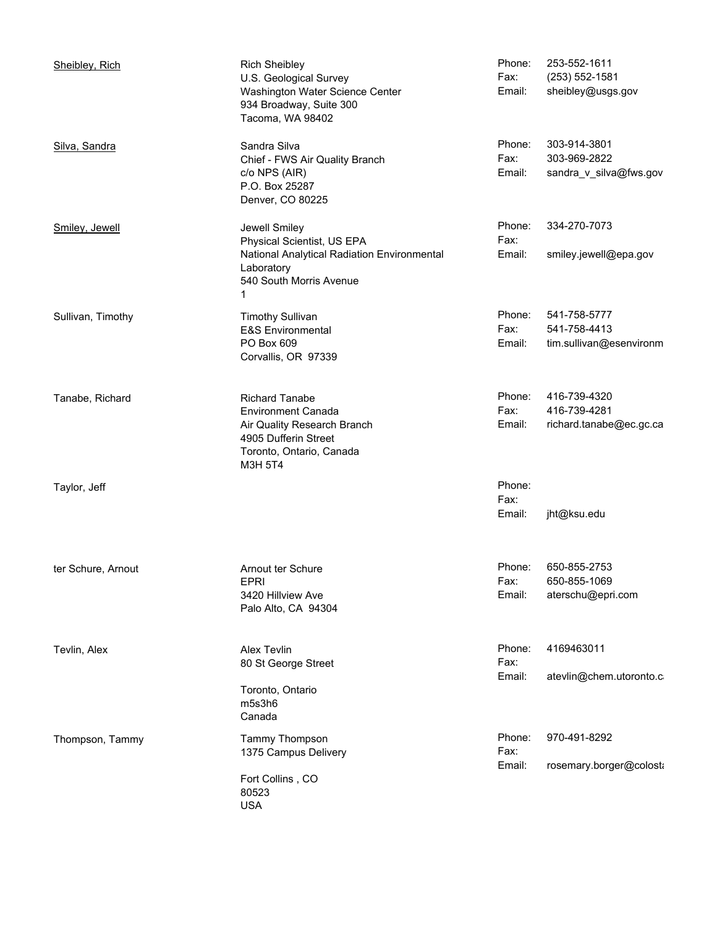| Sheibley, Rich     | <b>Rich Sheibley</b><br>U.S. Geological Survey<br>Washington Water Science Center<br>934 Broadway, Suite 300<br>Tacoma, WA 98402                 | Phone:<br>Fax:<br>Email: | 253-552-1611<br>$(253) 552 - 1581$<br>sheibley@usgs.gov |
|--------------------|--------------------------------------------------------------------------------------------------------------------------------------------------|--------------------------|---------------------------------------------------------|
| Silva, Sandra      | Sandra Silva<br>Chief - FWS Air Quality Branch<br>c/o NPS (AIR)<br>P.O. Box 25287<br>Denver, CO 80225                                            | Phone:<br>Fax:<br>Email: | 303-914-3801<br>303-969-2822<br>sandra_v_silva@fws.gov  |
| Smiley, Jewell     | Jewell Smiley<br>Physical Scientist, US EPA<br>National Analytical Radiation Environmental<br>Laboratory<br>540 South Morris Avenue<br>1         | Phone:<br>Fax:<br>Email: | 334-270-7073<br>smiley.jewell@epa.gov                   |
| Sullivan, Timothy  | <b>Timothy Sullivan</b><br><b>E&amp;S Environmental</b><br>PO Box 609<br>Corvallis, OR 97339                                                     | Phone:<br>Fax:<br>Email: | 541-758-5777<br>541-758-4413<br>tim.sullivan@esenvironm |
| Tanabe, Richard    | <b>Richard Tanabe</b><br><b>Environment Canada</b><br>Air Quality Research Branch<br>4905 Dufferin Street<br>Toronto, Ontario, Canada<br>M3H 5T4 | Phone:<br>Fax:<br>Email: | 416-739-4320<br>416-739-4281<br>richard.tanabe@ec.gc.ca |
| Taylor, Jeff       |                                                                                                                                                  | Phone:<br>Fax:<br>Email: | jht@ksu.edu                                             |
| ter Schure, Arnout | Arnout ter Schure<br><b>EPRI</b><br>3420 Hillview Ave<br>Palo Alto, CA 94304                                                                     | Phone:<br>Fax:<br>Email: | 650-855-2753<br>650-855-1069<br>aterschu@epri.com       |
| Tevlin, Alex       | Alex Tevlin<br>80 St George Street<br>Toronto, Ontario<br>m5s3h6<br>Canada                                                                       | Phone:<br>Fax:<br>Email: | 4169463011<br>atevlin@chem.utoronto.c                   |
| Thompson, Tammy    | Tammy Thompson<br>1375 Campus Delivery<br>Fort Collins, CO<br>80523<br><b>USA</b>                                                                | Phone:<br>Fax:<br>Email: | 970-491-8292<br>rosemary.borger@colosta                 |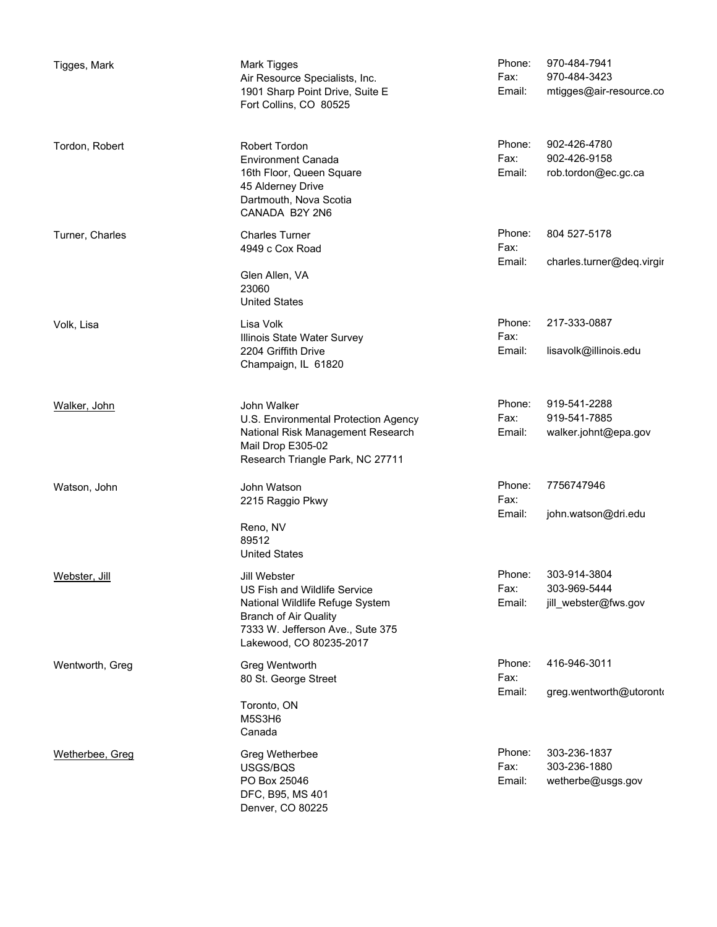| Tigges, Mark    | Mark Tigges<br>Air Resource Specialists, Inc.<br>1901 Sharp Point Drive, Suite E<br>Fort Collins, CO 80525                                                                     | Phone:<br>Fax:<br>Email: | 970-484-7941<br>970-484-3423<br>mtigges@air-resource.co |
|-----------------|--------------------------------------------------------------------------------------------------------------------------------------------------------------------------------|--------------------------|---------------------------------------------------------|
| Tordon, Robert  | Robert Tordon<br><b>Environment Canada</b><br>16th Floor, Queen Square<br>45 Alderney Drive<br>Dartmouth, Nova Scotia<br>CANADA B2Y 2N6                                        | Phone:<br>Fax:<br>Email: | 902-426-4780<br>902-426-9158<br>rob.tordon@ec.gc.ca     |
| Turner, Charles | <b>Charles Turner</b><br>4949 c Cox Road<br>Glen Allen, VA<br>23060<br><b>United States</b>                                                                                    | Phone:<br>Fax:<br>Email: | 804 527-5178<br>charles.turner@deq.virgir               |
| Volk, Lisa      | Lisa Volk<br>Illinois State Water Survey<br>2204 Griffith Drive<br>Champaign, IL 61820                                                                                         | Phone:<br>Fax:<br>Email: | 217-333-0887<br>lisavolk@illinois.edu                   |
| Walker, John    | John Walker<br>U.S. Environmental Protection Agency<br>National Risk Management Research<br>Mail Drop E305-02<br>Research Triangle Park, NC 27711                              | Phone:<br>Fax:<br>Email: | 919-541-2288<br>919-541-7885<br>walker.johnt@epa.gov    |
| Watson, John    | John Watson<br>2215 Raggio Pkwy<br>Reno, NV<br>89512<br><b>United States</b>                                                                                                   | Phone:<br>Fax:<br>Email: | 7756747946<br>john.watson@dri.edu                       |
| Webster, Jill   | Jill Webster<br>US Fish and Wildlife Service<br>National Wildlife Refuge System<br><b>Branch of Air Quality</b><br>7333 W. Jefferson Ave., Sute 375<br>Lakewood, CO 80235-2017 | Phone:<br>Fax:<br>Email: | 303-914-3804<br>303-969-5444<br>jill webster@fws.gov    |
| Wentworth, Greg | Greg Wentworth<br>80 St. George Street<br>Toronto, ON<br>M5S3H6<br>Canada                                                                                                      | Phone:<br>Fax:<br>Email: | 416-946-3011<br>greg.wentworth@utoronto                 |
| Wetherbee, Greg | Greg Wetherbee<br>USGS/BQS<br>PO Box 25046<br>DFC, B95, MS 401<br>Denver, CO 80225                                                                                             | Phone:<br>Fax:<br>Email: | 303-236-1837<br>303-236-1880<br>wetherbe@usgs.gov       |